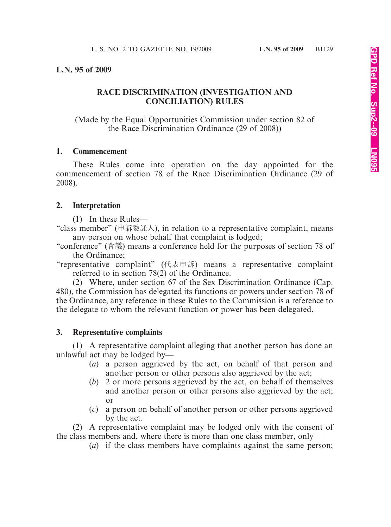#### **L.N. 95 of 2009**

## **RACE DISCRIMINATION (INVESTIGATION AND CONCILIATION) RULES**

(Made by the Equal Opportunities Commission under section 82 of the Race Discrimination Ordinance (29 of 2008))

#### **1. Commencement**

These Rules come into operation on the day appointed for the commencement of section 78 of the Race Discrimination Ordinance (29 of 2008).

#### **2. Interpretation**

(1) In these Rules—

"class member" (申訴委託人), in relation to a representative complaint, means any person on whose behalf that complaint is lodged;

"conference" (會議) means a conference held for the purposes of section 78 of the Ordinance;

"representative complaint" (代表申訴) means a representative complaint referred to in section 78(2) of the Ordinance.

(2) Where, under section 67 of the Sex Discrimination Ordinance (Cap. 480), the Commission has delegated its functions or powers under section 78 of the Ordinance, any reference in these Rules to the Commission is a reference to the delegate to whom the relevant function or power has been delegated.

#### **3. Representative complaints**

(1) A representative complaint alleging that another person has done an unlawful act may be lodged by—

- (*a*) a person aggrieved by the act, on behalf of that person and another person or other persons also aggrieved by the act;
- (*b*) 2 or more persons aggrieved by the act, on behalf of themselves and another person or other persons also aggrieved by the act; or
- (*c*) a person on behalf of another person or other persons aggrieved by the act.

(2) A representative complaint may be lodged only with the consent of the class members and, where there is more than one class member, only—

(*a*) if the class members have complaints against the same person;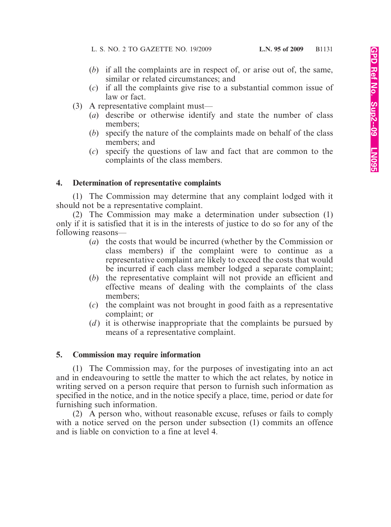- (*b*) if all the complaints are in respect of, or arise out of, the same, similar or related circumstances; and
- (*c*) if all the complaints give rise to a substantial common issue of law or fact.
- (3) A representative complaint must—
	- (*a*) describe or otherwise identify and state the number of class members;
	- (*b*) specify the nature of the complaints made on behalf of the class members; and
	- (*c*) specify the questions of law and fact that are common to the complaints of the class members.

## **4. Determination of representative complaints**

(1) The Commission may determine that any complaint lodged with it should not be a representative complaint.

(2) The Commission may make a determination under subsection (1) only if it is satisfied that it is in the interests of justice to do so for any of the following reasons—

- (*a*) the costs that would be incurred (whether by the Commission or class members) if the complaint were to continue as a representative complaint are likely to exceed the costs that would be incurred if each class member lodged a separate complaint;
- (*b*) the representative complaint will not provide an efficient and effective means of dealing with the complaints of the class members;
- (*c*) the complaint was not brought in good faith as a representative complaint; or
- (*d*) it is otherwise inappropriate that the complaints be pursued by means of a representative complaint.

## **5. Commission may require information**

(1) The Commission may, for the purposes of investigating into an act and in endeavouring to settle the matter to which the act relates, by notice in writing served on a person require that person to furnish such information as specified in the notice, and in the notice specify a place, time, period or date for furnishing such information.

(2) A person who, without reasonable excuse, refuses or fails to comply with a notice served on the person under subsection (1) commits an offence and is liable on conviction to a fine at level 4.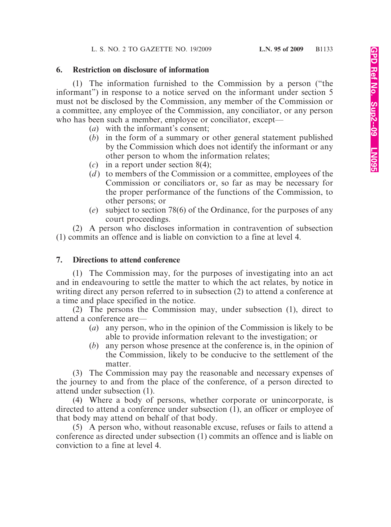## **6. Restriction on disclosure of information**

(1) The information furnished to the Commission by a person ("the informant") in response to a notice served on the informant under section 5 must not be disclosed by the Commission, any member of the Commission or a committee, any employee of the Commission, any conciliator, or any person who has been such a member, employee or conciliator, except—

- (*a*) with the informant's consent;
- (*b*) in the form of a summary or other general statement published by the Commission which does not identify the informant or any other person to whom the information relates;
- (*c*) in a report under section 8(4);
- (*d* ) to members of the Commission or a committee, employees of the Commission or conciliators or, so far as may be necessary for the proper performance of the functions of the Commission, to other persons; or
- (*e*) subject to section 78(6) of the Ordinance, for the purposes of any court proceedings.

(2) A person who discloses information in contravention of subsection (1) commits an offence and is liable on conviction to a fine at level 4.

## **7. Directions to attend conference**

(1) The Commission may, for the purposes of investigating into an act and in endeavouring to settle the matter to which the act relates, by notice in writing direct any person referred to in subsection (2) to attend a conference at a time and place specified in the notice.

(2) The persons the Commission may, under subsection (1), direct to attend a conference are—

- (*a*) any person, who in the opinion of the Commission is likely to be able to provide information relevant to the investigation; or
- (*b*) any person whose presence at the conference is, in the opinion of the Commission, likely to be conducive to the settlement of the matter.

(3) The Commission may pay the reasonable and necessary expenses of the journey to and from the place of the conference, of a person directed to attend under subsection (1).

(4) Where a body of persons, whether corporate or unincorporate, is directed to attend a conference under subsection (1), an officer or employee of that body may attend on behalf of that body.

(5) A person who, without reasonable excuse, refuses or fails to attend a conference as directed under subsection (1) commits an offence and is liable on conviction to a fine at level 4.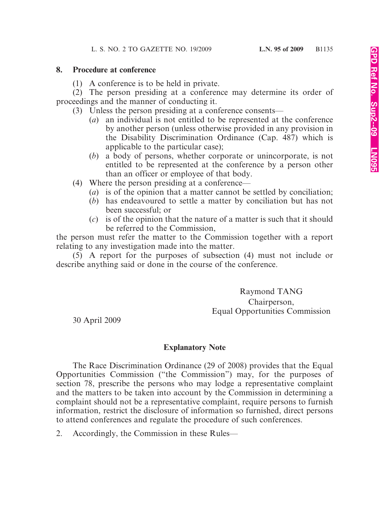### **8. Procedure at conference**

(1) A conference is to be held in private.

(2) The person presiding at a conference may determine its order of proceedings and the manner of conducting it.

- (3) Unless the person presiding at a conference consents—
	- (*a*) an individual is not entitled to be represented at the conference by another person (unless otherwise provided in any provision in the Disability Discrimination Ordinance (Cap. 487) which is applicable to the particular case);
	- (*b*) a body of persons, whether corporate or unincorporate, is not entitled to be represented at the conference by a person other than an officer or employee of that body.
- (4) Where the person presiding at a conference—
	- (*a*) is of the opinion that a matter cannot be settled by conciliation;
	- (*b*) has endeavoured to settle a matter by conciliation but has not been successful; or
	- (*c*) is of the opinion that the nature of a matter is such that it should be referred to the Commission,

the person must refer the matter to the Commission together with a report relating to any investigation made into the matter.

(5) A report for the purposes of subsection (4) must not include or describe anything said or done in the course of the conference.

> Raymond TANG Chairperson, Equal Opportunities Commission

30 April 2009

# **Explanatory Note**

The Race Discrimination Ordinance (29 of 2008) provides that the Equal Opportunities Commission ("the Commission") may, for the purposes of section 78, prescribe the persons who may lodge a representative complaint and the matters to be taken into account by the Commission in determining a complaint should not be a representative complaint, require persons to furnish information, restrict the disclosure of information so furnished, direct persons to attend conferences and regulate the procedure of such conferences.

2. Accordingly, the Commission in these Rules—